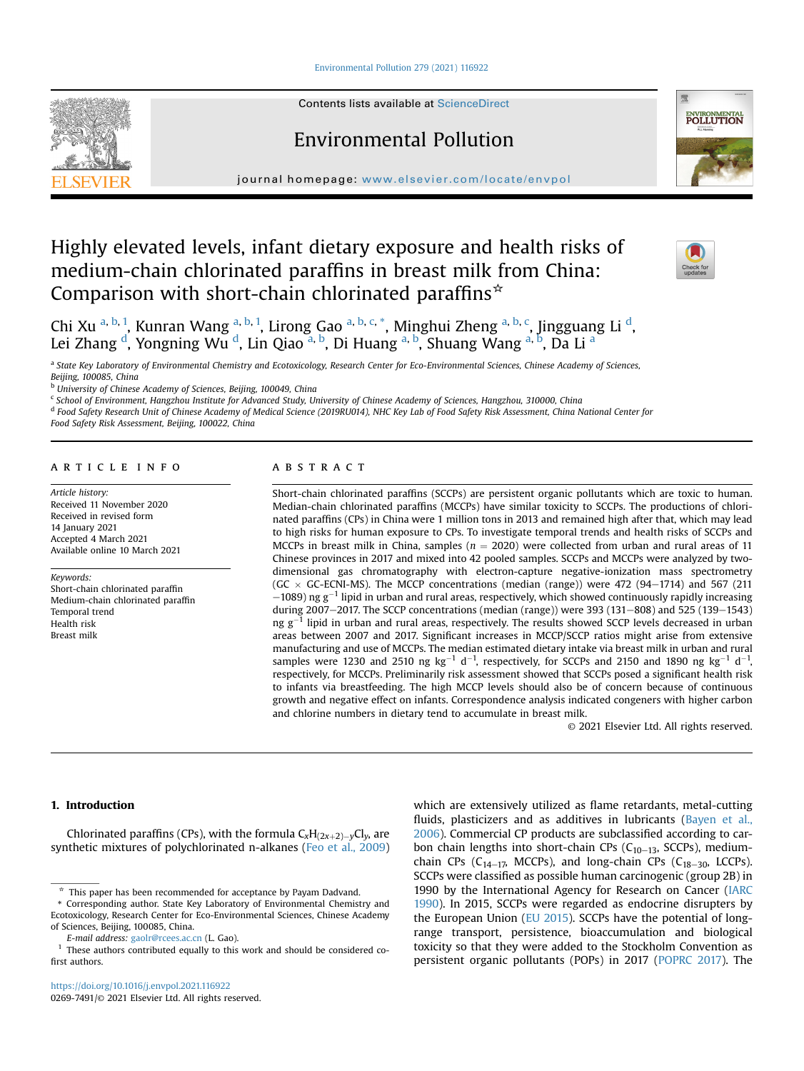[Environmental Pollution 279 \(2021\) 116922](https://doi.org/10.1016/j.envpol.2021.116922)



Contents lists available at ScienceDirect

# Environmental Pollution



journal homepage: [www.elsevier.com/locate/envpol](http://www.elsevier.com/locate/envpol)

# Highly elevated levels, infant dietary exposure and health risks of medium-chain chlorinated paraffins in breast milk from China: Comparison with short-chain chlorinated paraffins $*$



Chi Xu <sup>[a](#page-0-0), [b](#page-0-1), [1](#page-0-2)</sup>, Kunran Wang <sup>a, [b,](#page-0-1) 1</sup>, Lirong Gao <sup>a, b, [c](#page-0-3), [\\*](#page-0-4)</sup>, Minghui Zheng <sup>[a,](#page-0-0) b, c</sup>, Jingguang Li <sup>[d](#page-0-5)</sup>, Lei Zhang <sup>[d](#page-0-5)</sup>, Yongning Wu <sup>d</sup>, Lin Qi[a](#page-0-0)o <sup>a, [b](#page-0-1)</sup>, Di Huang <sup>[a,](#page-0-0) b</sup>, Shuang Wang <sup>a, b</sup>, Da Li <sup>a</sup>

<span id="page-0-0"></span>a State Key Laboratory of Environmental Chemistry and Ecotoxicology, Research Center for Eco-Environmental Sciences, Chinese Academy of Sciences, Beijing, 100085, China

<span id="page-0-1"></span>b University of Chinese Academy of Sciences, Beijing, 100049, China

<span id="page-0-3"></span><sup>c</sup> School of Environment, Hangzhou Institute for Advanced Study, University of Chinese Academy of Sciences, Hangzhou, 310000, China

<span id="page-0-5"></span><sup>d</sup> Food Safety Research Unit of Chinese Academy of Medical Science (2019RU014), NHC Key Lab of Food Safety Risk Assessment, China National Center for

Food Safety Risk Assessment, Beijing, 100022, China

# article info

Article history: Received 11 November 2020 Received in revised form 14 January 2021 Accepted 4 March 2021 Available online 10 March 2021

Keywords:

Short-chain chlorinated paraffin Medium-chain chlorinated paraffin Temporal trend Health risk Breast milk

# **ABSTRACT**

Short-chain chlorinated paraffins (SCCPs) are persistent organic pollutants which are toxic to human. Median-chain chlorinated paraffins (MCCPs) have similar toxicity to SCCPs. The productions of chlorinated paraffins (CPs) in China were 1 million tons in 2013 and remained high after that, which may lead to high risks for human exposure to CPs. To investigate temporal trends and health risks of SCCPs and MCCPs in breast milk in China, samples  $(n = 2020)$  were collected from urban and rural areas of 11 Chinese provinces in 2017 and mixed into 42 pooled samples. SCCPs and MCCPs were analyzed by twodimensional gas chromatography with electron-capture negative-ionization mass spectrometry (GC  $\times$  GC-ECNI-MS). The MCCP concentrations (median (range)) were 472 (94–1714) and 567 (211  $-1089$ ) ng g<sup>-1</sup> lipid in urban and rural areas, respectively, which showed continuously rapidly increasing during 2007-2017. The SCCP concentrations (median (range)) were 393 (131-808) and 525 (139-1543) ng  $g^{-1}$  lipid in urban and rural areas, respectively. The results showed SCCP levels decreased in urban areas between 2007 and 2017. Significant increases in MCCP/SCCP ratios might arise from extensive manufacturing and use of MCCPs. The median estimated dietary intake via breast milk in urban and rural samples were 1230 and 2510 ng kg<sup>-1</sup> d<sup>-1</sup>, respectively, for SCCPs and 2150 and 1890 ng kg<sup>-1</sup> d<sup>-1</sup>, respectively, for MCCPs. Preliminarily risk assessment showed that SCCPs posed a significant health risk to infants via breastfeeding. The high MCCP levels should also be of concern because of continuous growth and negative effect on infants. Correspondence analysis indicated congeners with higher carbon and chlorine numbers in dietary tend to accumulate in breast milk.

© 2021 Elsevier Ltd. All rights reserved.

# 1. Introduction

Chlorinated paraffins (CPs), with the formula  $C_xH_{(2x+2)-y}Cl_y$ , are synthetic mixtures of polychlorinated n-alkanes ([Feo et al., 2009\)](#page-6-0) which are extensively utilized as flame retardants, metal-cutting fluids, plasticizers and as additives in lubricants [\(Bayen et al.,](#page-6-1) [2006\)](#page-6-1). Commercial CP products are subclassified according to carbon chain lengths into short-chain CPs ( $C_{10-13}$ , SCCPs), mediumchain CPs ( $C_{14-17}$ , MCCPs), and long-chain CPs ( $C_{18-30}$ , LCCPs). SCCPs were classified as possible human carcinogenic (group 2B) in 1990 by the International Agency for Research on Cancer ([IARC](#page-6-2) [1990](#page-6-2)). In 2015, SCCPs were regarded as endocrine disrupters by the European Union ([EU 2015](#page-6-3)). SCCPs have the potential of longrange transport, persistence, bioaccumulation and biological toxicity so that they were added to the Stockholm Convention as persistent organic pollutants (POPs) in 2017 ([POPRC 2017\)](#page-6-4). The

 $*$  This paper has been recommended for acceptance by Payam Dadvand.

<span id="page-0-4"></span><sup>\*</sup> Corresponding author. State Key Laboratory of Environmental Chemistry and Ecotoxicology, Research Center for Eco-Environmental Sciences, Chinese Academy of Sciences, Beijing, 100085, China.

E-mail address: [gaolr@rcees.ac.cn](mailto:gaolr@rcees.ac.cn) (L. Gao).

<span id="page-0-2"></span>These authors contributed equally to this work and should be considered cofirst authors.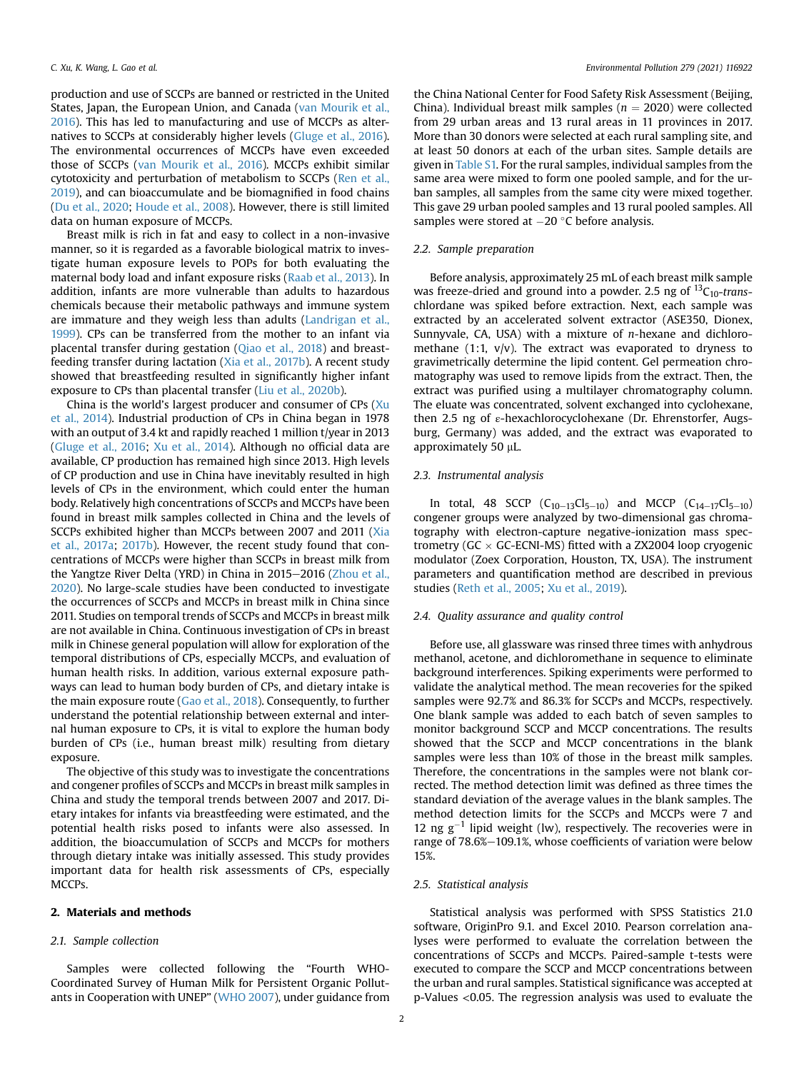production and use of SCCPs are banned or restricted in the United States, Japan, the European Union, and Canada [\(van Mourik et al.,](#page-6-5) [2016\)](#page-6-5). This has led to manufacturing and use of MCCPs as alternatives to SCCPs at considerably higher levels ([Gluge et al., 2016\)](#page-6-6). The environmental occurrences of MCCPs have even exceeded those of SCCPs [\(van Mourik et al., 2016](#page-6-5)). MCCPs exhibit similar cytotoxicity and perturbation of metabolism to SCCPs [\(Ren et al.,](#page-6-7) [2019\)](#page-6-7), and can bioaccumulate and be biomagnified in food chains ([Du et al., 2020](#page-6-8); [Houde et al., 2008\)](#page-6-9). However, there is still limited data on human exposure of MCCPs.

Breast milk is rich in fat and easy to collect in a non-invasive manner, so it is regarded as a favorable biological matrix to investigate human exposure levels to POPs for both evaluating the maternal body load and infant exposure risks [\(Raab et al., 2013](#page-6-10)). In addition, infants are more vulnerable than adults to hazardous chemicals because their metabolic pathways and immune system are immature and they weigh less than adults [\(Landrigan et al.,](#page-6-11) [1999](#page-6-11)). CPs can be transferred from the mother to an infant via placental transfer during gestation ([Qiao et al., 2018\)](#page-6-12) and breastfeeding transfer during lactation [\(Xia et al., 2017b](#page-6-13)). A recent study showed that breastfeeding resulted in significantly higher infant exposure to CPs than placental transfer ([Liu et al., 2020b\)](#page-6-14).

China is the world's largest producer and consumer of CPs [\(Xu](#page-7-0) [et al., 2014\)](#page-7-0). Industrial production of CPs in China began in 1978 with an output of 3.4 kt and rapidly reached 1 million t/year in 2013 ([Gluge et al., 2016;](#page-6-6) [Xu et al., 2014\)](#page-7-0). Although no official data are available, CP production has remained high since 2013. High levels of CP production and use in China have inevitably resulted in high levels of CPs in the environment, which could enter the human body. Relatively high concentrations of SCCPs and MCCPs have been found in breast milk samples collected in China and the levels of SCCPs exhibited higher than MCCPs between 2007 and 2011 [\(Xia](#page-6-15) [et al., 2017a](#page-6-15); [2017b](#page-6-13)). However, the recent study found that concentrations of MCCPs were higher than SCCPs in breast milk from the Yangtze River Delta (YRD) in China in 2015–2016 [\(Zhou et al.,](#page-7-1) [2020\)](#page-7-1). No large-scale studies have been conducted to investigate the occurrences of SCCPs and MCCPs in breast milk in China since 2011. Studies on temporal trends of SCCPs and MCCPs in breast milk are not available in China. Continuous investigation of CPs in breast milk in Chinese general population will allow for exploration of the temporal distributions of CPs, especially MCCPs, and evaluation of human health risks. In addition, various external exposure pathways can lead to human body burden of CPs, and dietary intake is the main exposure route [\(Gao et al., 2018\)](#page-6-16). Consequently, to further understand the potential relationship between external and internal human exposure to CPs, it is vital to explore the human body burden of CPs (i.e., human breast milk) resulting from dietary exposure.

The objective of this study was to investigate the concentrations and congener profiles of SCCPs and MCCPs in breast milk samples in China and study the temporal trends between 2007 and 2017. Dietary intakes for infants via breastfeeding were estimated, and the potential health risks posed to infants were also assessed. In addition, the bioaccumulation of SCCPs and MCCPs for mothers through dietary intake was initially assessed. This study provides important data for health risk assessments of CPs, especially MCCPs.

# 2. Materials and methods

# 2.1. Sample collection

Samples were collected following the "Fourth WHO-Coordinated Survey of Human Milk for Persistent Organic Pollutants in Cooperation with UNEP" ([WHO 2007](#page-6-17)), under guidance from the China National Center for Food Safety Risk Assessment (Beijing, China). Individual breast milk samples ( $n = 2020$ ) were collected from 29 urban areas and 13 rural areas in 11 provinces in 2017. More than 30 donors were selected at each rural sampling site, and at least 50 donors at each of the urban sites. Sample details are given in Table S1. For the rural samples, individual samples from the same area were mixed to form one pooled sample, and for the urban samples, all samples from the same city were mixed together. This gave 29 urban pooled samples and 13 rural pooled samples. All samples were stored at  $-20$  °C before analysis.

#### 2.2. Sample preparation

Before analysis, approximately 25 mL of each breast milk sample was freeze-dried and ground into a powder. 2.5 ng of  $^{13}C_{10}$ -transchlordane was spiked before extraction. Next, each sample was extracted by an accelerated solvent extractor (ASE350, Dionex, Sunnyvale, CA, USA) with a mixture of  $n$ -hexane and dichloromethane (1:1,  $v/v$ ). The extract was evaporated to dryness to gravimetrically determine the lipid content. Gel permeation chromatography was used to remove lipids from the extract. Then, the extract was purified using a multilayer chromatography column. The eluate was concentrated, solvent exchanged into cyclohexane, then 2.5 ng of ε-hexachlorocyclohexane (Dr. Ehrenstorfer, Augsburg, Germany) was added, and the extract was evaporated to approximately 50  $\mu$ L.

## 2.3. Instrumental analysis

In total, 48 SCCP  $(C_{10-13}Cl_{5-10})$  and MCCP  $(C_{14-17}Cl_{5-10})$ congener groups were analyzed by two-dimensional gas chromatography with electron-capture negative-ionization mass spectrometry ( $GC \times GC$ -ECNI-MS) fitted with a ZX2004 loop cryogenic modulator (Zoex Corporation, Houston, TX, USA). The instrument parameters and quantification method are described in previous studies ([Reth et al., 2005;](#page-6-18) [Xu et al., 2019\)](#page-7-2).

#### 2.4. Quality assurance and quality control

Before use, all glassware was rinsed three times with anhydrous methanol, acetone, and dichloromethane in sequence to eliminate background interferences. Spiking experiments were performed to validate the analytical method. The mean recoveries for the spiked samples were 92.7% and 86.3% for SCCPs and MCCPs, respectively. One blank sample was added to each batch of seven samples to monitor background SCCP and MCCP concentrations. The results showed that the SCCP and MCCP concentrations in the blank samples were less than 10% of those in the breast milk samples. Therefore, the concentrations in the samples were not blank corrected. The method detection limit was defined as three times the standard deviation of the average values in the blank samples. The method detection limits for the SCCPs and MCCPs were 7 and 12 ng  $g^{-1}$  lipid weight (lw), respectively. The recoveries were in range of 78.6%-109.1%, whose coefficients of variation were below 15%.

#### 2.5. Statistical analysis

Statistical analysis was performed with SPSS Statistics 21.0 software, OriginPro 9.1. and Excel 2010. Pearson correlation analyses were performed to evaluate the correlation between the concentrations of SCCPs and MCCPs. Paired-sample t-tests were executed to compare the SCCP and MCCP concentrations between the urban and rural samples. Statistical significance was accepted at p-Values <0.05. The regression analysis was used to evaluate the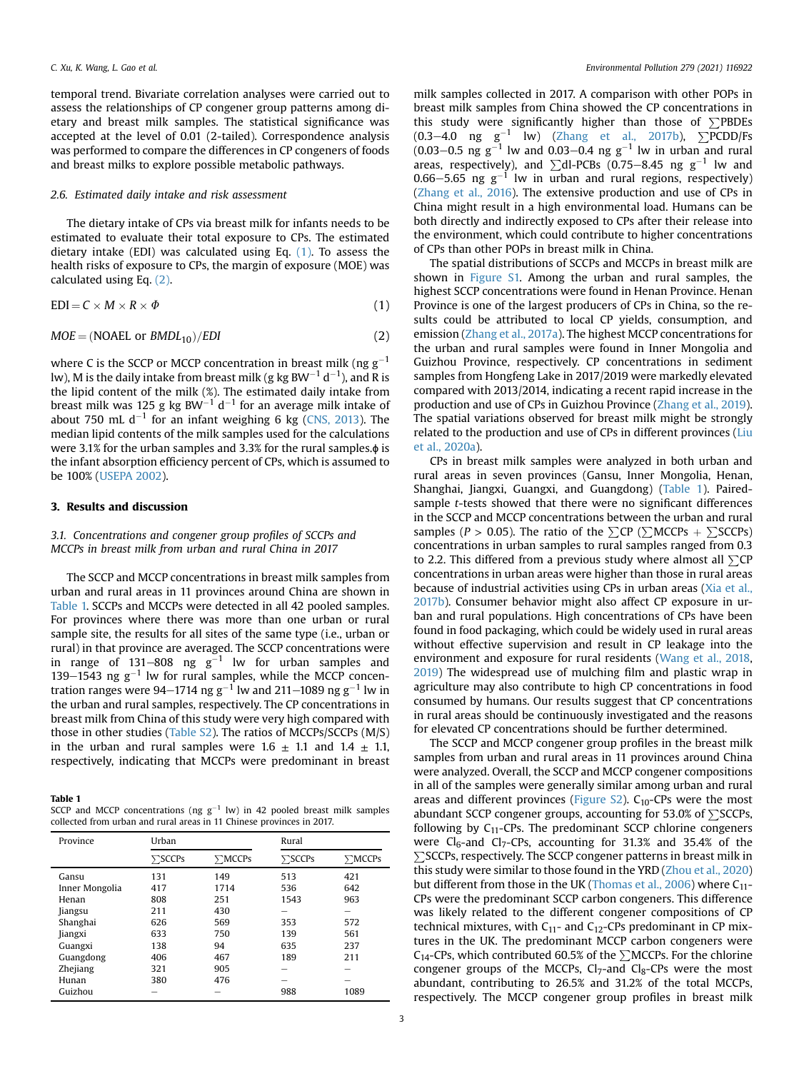temporal trend. Bivariate correlation analyses were carried out to assess the relationships of CP congener group patterns among dietary and breast milk samples. The statistical significance was accepted at the level of 0.01 (2-tailed). Correspondence analysis was performed to compare the differences in CP congeners of foods and breast milks to explore possible metabolic pathways.

## 2.6. Estimated daily intake and risk assessment

The dietary intake of CPs via breast milk for infants needs to be estimated to evaluate their total exposure to CPs. The estimated dietary intake (EDI) was calculated using Eq. [\(1\).](#page-2-0) To assess the health risks of exposure to CPs, the margin of exposure (MOE) was calculated using Eq. [\(2\).](#page-2-1)

<span id="page-2-1"></span><span id="page-2-0"></span>
$$
EDI = C \times M \times R \times \Phi
$$
 (1)

$$
MOE = (NOAEL \text{ or } BMDL_{10})/EDI
$$
 (2)

where C is the SCCP or MCCP concentration in breast milk (ng  $g^{-1}$ ) lw), M is the daily intake from breast milk (g kg BW $^{-1}\,\rm{d^{-1}}$ ), and R is the lipid content of the milk (%). The estimated daily intake from breast milk was 125 g kg BW<sup>-1</sup> d<sup>-1</sup> for an average milk intake of about 750 mL d<sup>-1</sup> for an infant weighing 6 kg ([CNS, 2013](#page-6-19)). The median lipid contents of the milk samples used for the calculations were 3.1% for the urban samples and 3.3% for the rural samples.ɸ is the infant absorption efficiency percent of CPs, which is assumed to be 100% ([USEPA 2002\)](#page-6-20).

# 3. Results and discussion

# 3.1. Concentrations and congener group profiles of SCCPs and MCCPs in breast milk from urban and rural China in 2017

The SCCP and MCCP concentrations in breast milk samples from urban and rural areas in 11 provinces around China are shown in [Table 1.](#page-2-2) SCCPs and MCCPs were detected in all 42 pooled samples. For provinces where there was more than one urban or rural sample site, the results for all sites of the same type (i.e., urban or rural) in that province are averaged. The SCCP concentrations were in range of 131–808 ng  $g^{-1}$  lw for urban samples and 139–1543 ng  $g^{-1}$  lw for rural samples, while the MCCP concentration ranges were 94–1714 ng  $g^{-1}$  lw and 211–1089 ng  $g^{-1}$  lw in the urban and rural samples, respectively. The CP concentrations in breast milk from China of this study were very high compared with those in other studies (Table S2). The ratios of MCCPs/SCCPs (M/S) in the urban and rural samples were  $1.6 \pm 1.1$  and  $1.4 \pm 1.1$ , respectively, indicating that MCCPs were predominant in breast

<span id="page-2-2"></span>Table 1

| SCCP and MCCP concentrations (ng $g^{-1}$ lw) in 42 pooled breast milk samples |  |
|--------------------------------------------------------------------------------|--|
| collected from urban and rural areas in 11 Chinese provinces in 2017.          |  |

| Province       | Urban          |              | Rural          |              |
|----------------|----------------|--------------|----------------|--------------|
|                | $\Sigma$ SCCPs | $\sum MCCPs$ | $\Sigma$ SCCPs | $\sum MCCPs$ |
| Gansu          | 131            | 149          | 513            | 421          |
| Inner Mongolia | 417            | 1714         | 536            | 642          |
| Henan          | 808            | 251          | 1543           | 963          |
| Jiangsu        | 211            | 430          | -              | -            |
| Shanghai       | 626            | 569          | 353            | 572          |
| Jiangxi        | 633            | 750          | 139            | 561          |
| Guangxi        | 138            | 94           | 635            | 237          |
| Guangdong      | 406            | 467          | 189            | 211          |
| Zhejiang       | 321            | 905          | -              |              |
| Hunan          | 380            | 476          |                |              |
| Guizhou        |                |              | 988            | 1089         |

milk samples collected in 2017. A comparison with other POPs in breast milk samples from China showed the CP concentrations in this study were significantly higher than those of  $\Sigma$ PBDEs  $(0.3-4.0 \text{ ng } \text{g}^{-1} \text{ lw})$  [\(Zhang et al., 2017b](#page-7-3)),  $\sum$ PCDD/Fs  $(0.03-0.5 \text{ ng g}^{-1}$  lw and  $0.03-0.4 \text{ ng g}^{-1}$  lw in urban and rural areas, respectively), and  $\sum$ dl-PCBs (0.75–8.45 ng g<sup>-1</sup> lw and 0.66–5.65 ng  $g^{-1}$  lw in urban and rural regions, respectively) ([Zhang et al., 2016](#page-7-4)). The extensive production and use of CPs in China might result in a high environmental load. Humans can be both directly and indirectly exposed to CPs after their release into the environment, which could contribute to higher concentrations of CPs than other POPs in breast milk in China.

The spatial distributions of SCCPs and MCCPs in breast milk are shown in Figure S1. Among the urban and rural samples, the highest SCCP concentrations were found in Henan Province. Henan Province is one of the largest producers of CPs in China, so the results could be attributed to local CP yields, consumption, and emission ([Zhang et al., 2017a](#page-7-5)). The highest MCCP concentrations for the urban and rural samples were found in Inner Mongolia and Guizhou Province, respectively. CP concentrations in sediment samples from Hongfeng Lake in 2017/2019 were markedly elevated compared with 2013/2014, indicating a recent rapid increase in the production and use of CPs in Guizhou Province [\(Zhang et al., 2019\)](#page-7-6). The spatial variations observed for breast milk might be strongly related to the production and use of CPs in different provinces [\(Liu](#page-6-21) [et al., 2020a\)](#page-6-21).

CPs in breast milk samples were analyzed in both urban and rural areas in seven provinces (Gansu, Inner Mongolia, Henan, Shanghai, Jiangxi, Guangxi, and Guangdong) ([Table 1\)](#page-2-2). Pairedsample t-tests showed that there were no significant differences in the SCCP and MCCP concentrations between the urban and rural samples ( $P > 0.05$ ). The ratio of the  $\sum CP$  ( $\sum MCCPs + \sum SCCPs$ ) concentrations in urban samples to rural samples ranged from 0.3 to 2.2. This differed from a previous study where almost all  $\Sigma$ CP concentrations in urban areas were higher than those in rural areas because of industrial activities using CPs in urban areas ([Xia et al.,](#page-6-13) [2017b](#page-6-13)). Consumer behavior might also affect CP exposure in urban and rural populations. High concentrations of CPs have been found in food packaging, which could be widely used in rural areas without effective supervision and result in CP leakage into the environment and exposure for rural residents ([Wang et al., 2018,](#page-6-22) [2019\)](#page-6-23) The widespread use of mulching film and plastic wrap in agriculture may also contribute to high CP concentrations in food consumed by humans. Our results suggest that CP concentrations in rural areas should be continuously investigated and the reasons for elevated CP concentrations should be further determined.

The SCCP and MCCP congener group profiles in the breast milk samples from urban and rural areas in 11 provinces around China were analyzed. Overall, the SCCP and MCCP congener compositions in all of the samples were generally similar among urban and rural areas and different provinces (Figure S2).  $C_{10}$ -CPs were the most abundant SCCP congener groups, accounting for 53.0% of  $\Sigma$ SCCPs, following by  $C_{11}$ -CPs. The predominant SCCP chlorine congeners were  $Cl_6$ -and  $Cl_7$ -CPs, accounting for 31.3% and 35.4% of the  $\Sigma$ SCCPs, respectively. The SCCP congener patterns in breast milk in this study were similar to those found in the YRD [\(Zhou et al., 2020\)](#page-7-1) but different from those in the UK ([Thomas et al., 2006\)](#page-6-24) where  $C_{11}$ -CPs were the predominant SCCP carbon congeners. This difference was likely related to the different congener compositions of CP technical mixtures, with  $C_{11}$ - and  $C_{12}$ -CPs predominant in CP mixtures in the UK. The predominant MCCP carbon congeners were C<sub>14</sub>-CPs, which contributed 60.5% of the  $\sum$ MCCPs. For the chlorine congener groups of the MCCPs,  $Cl_7$ -and  $Cl_8$ -CPs were the most abundant, contributing to 26.5% and 31.2% of the total MCCPs, respectively. The MCCP congener group profiles in breast milk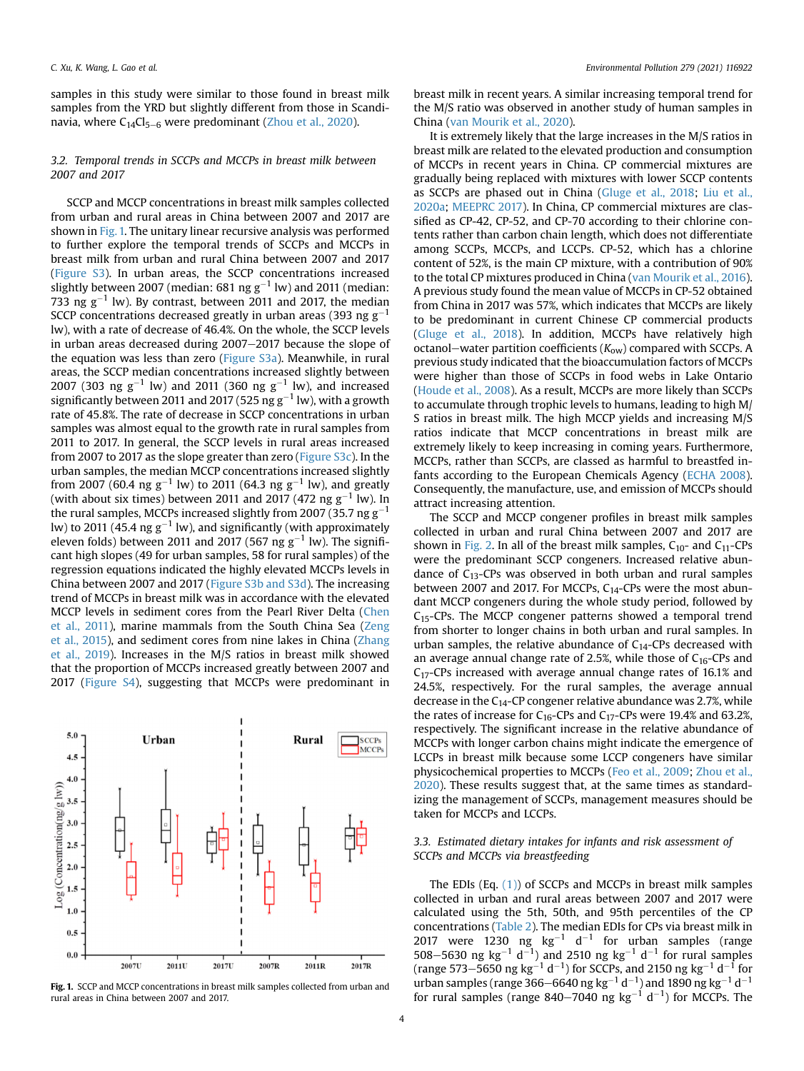samples in this study were similar to those found in breast milk samples from the YRD but slightly different from those in Scandinavia, where  $C_{14}Cl_{5-6}$  were predominant [\(Zhou et al., 2020](#page-7-1)).

# 3.2. Temporal trends in SCCPs and MCCPs in breast milk between 2007 and 2017

SCCP and MCCP concentrations in breast milk samples collected from urban and rural areas in China between 2007 and 2017 are shown in [Fig. 1.](#page-3-0) The unitary linear recursive analysis was performed to further explore the temporal trends of SCCPs and MCCPs in breast milk from urban and rural China between 2007 and 2017 (Figure S3). In urban areas, the SCCP concentrations increased slightly between 2007 (median: 681 ng  $g^{-1}$  lw) and 2011 (median: 733 ng  $g^{-1}$  lw). By contrast, between 2011 and 2017, the median SCCP concentrations decreased greatly in urban areas (393 ng  $g^{-1}$ lw), with a rate of decrease of 46.4%. On the whole, the SCCP levels in urban areas decreased during 2007-2017 because the slope of the equation was less than zero (Figure S3a). Meanwhile, in rural areas, the SCCP median concentrations increased slightly between 2007 (303 ng  $g^{-1}$  lw) and 2011 (360 ng  $g^{-1}$  lw), and increased significantly between 2011 and 2017 (525 ng  $g^{-1}$  lw), with a growth rate of 45.8%. The rate of decrease in SCCP concentrations in urban samples was almost equal to the growth rate in rural samples from 2011 to 2017. In general, the SCCP levels in rural areas increased from 2007 to 2017 as the slope greater than zero (Figure S3c). In the urban samples, the median MCCP concentrations increased slightly from 2007 (60.4 ng g $^{-1}$  lw) to 2011 (64.3 ng g $^{-1}$  lw), and greatly (with about six times) between 2011 and 2017 (472 ng g $^{-1}$  lw). In the rural samples, MCCPs increased slightly from 2007 (35.7 ng  $g^{-1}$ lw) to 2011 (45.4 ng  $g^{-1}$  lw), and significantly (with approximately eleven folds) between 2011 and 2017 (567 ng  $g^{-1}$  lw). The significant high slopes (49 for urban samples, 58 for rural samples) of the regression equations indicated the highly elevated MCCPs levels in China between 2007 and 2017 (Figure S3b and S3d). The increasing trend of MCCPs in breast milk was in accordance with the elevated MCCP levels in sediment cores from the Pearl River Delta [\(Chen](#page-6-25) [et al., 2011\)](#page-6-25), marine mammals from the South China Sea [\(Zeng](#page-7-7) [et al., 2015](#page-7-7)), and sediment cores from nine lakes in China [\(Zhang](#page-7-6) [et al., 2019](#page-7-6)). Increases in the M/S ratios in breast milk showed that the proportion of MCCPs increased greatly between 2007 and 2017 (Figure S4), suggesting that MCCPs were predominant in

<span id="page-3-0"></span>

breast milk in recent years. A similar increasing temporal trend for the M/S ratio was observed in another study of human samples in China ([van Mourik et al., 2020](#page-6-26)).

It is extremely likely that the large increases in the M/S ratios in breast milk are related to the elevated production and consumption of MCCPs in recent years in China. CP commercial mixtures are gradually being replaced with mixtures with lower SCCP contents as SCCPs are phased out in China ([Gluge et al., 2018;](#page-6-27) [Liu et al.,](#page-6-21) [2020a;](#page-6-21) [MEEPRC 2017](#page-6-28)). In China, CP commercial mixtures are classified as CP-42, CP-52, and CP-70 according to their chlorine contents rather than carbon chain length, which does not differentiate among SCCPs, MCCPs, and LCCPs. CP-52, which has a chlorine content of 52%, is the main CP mixture, with a contribution of 90% to the total CP mixtures produced in China ([van Mourik et al., 2016\)](#page-6-5). A previous study found the mean value of MCCPs in CP-52 obtained from China in 2017 was 57%, which indicates that MCCPs are likely to be predominant in current Chinese CP commercial products ([Gluge et al., 2018\)](#page-6-27). In addition, MCCPs have relatively high octanol-water partition coefficients ( $K_{\text{ow}}$ ) compared with SCCPs. A previous study indicated that the bioaccumulation factors of MCCPs were higher than those of SCCPs in food webs in Lake Ontario ([Houde et al., 2008](#page-6-9)). As a result, MCCPs are more likely than SCCPs to accumulate through trophic levels to humans, leading to high M/ S ratios in breast milk. The high MCCP yields and increasing M/S ratios indicate that MCCP concentrations in breast milk are extremely likely to keep increasing in coming years. Furthermore, MCCPs, rather than SCCPs, are classed as harmful to breastfed infants according to the European Chemicals Agency [\(ECHA 2008\)](#page-6-29). Consequently, the manufacture, use, and emission of MCCPs should attract increasing attention.

The SCCP and MCCP congener profiles in breast milk samples collected in urban and rural China between 2007 and 2017 are shown in [Fig. 2](#page-4-0). In all of the breast milk samples,  $C_{10}$ - and  $C_{11}$ -CPs were the predominant SCCP congeners. Increased relative abundance of  $C_{13}$ -CPs was observed in both urban and rural samples between 2007 and 2017. For MCCPs,  $C_{14}$ -CPs were the most abundant MCCP congeners during the whole study period, followed by  $C_{15}$ -CPs. The MCCP congener patterns showed a temporal trend from shorter to longer chains in both urban and rural samples. In urban samples, the relative abundance of  $C_{14}$ -CPs decreased with an average annual change rate of 2.5%, while those of  $C_{16}$ -CPs and C17-CPs increased with average annual change rates of 16.1% and 24.5%, respectively. For the rural samples, the average annual decrease in the  $C_{14}$ -CP congener relative abundance was 2.7%, while the rates of increase for  $C_{16}$ -CPs and  $C_{17}$ -CPs were 19.4% and 63.2%, respectively. The significant increase in the relative abundance of MCCPs with longer carbon chains might indicate the emergence of LCCPs in breast milk because some LCCP congeners have similar physicochemical properties to MCCPs ([Feo et al., 2009;](#page-6-0) [Zhou et al.,](#page-7-1) [2020\)](#page-7-1). These results suggest that, at the same times as standardizing the management of SCCPs, management measures should be taken for MCCPs and LCCPs.

# 3.3. Estimated dietary intakes for infants and risk assessment of SCCPs and MCCPs via breastfeeding

The EDIs (Eq.  $(1)$ ) of SCCPs and MCCPs in breast milk samples collected in urban and rural areas between 2007 and 2017 were calculated using the 5th, 50th, and 95th percentiles of the CP concentrations [\(Table 2\)](#page-4-1). The median EDIs for CPs via breast milk in 2017 were 1230 ng  $\text{kg}^{-1}$  d<sup>-1</sup> for urban samples (range 508–5630 ng kg<sup>-1</sup> d<sup>-1</sup>) and 2510 ng kg<sup>-1</sup> d<sup>-1</sup> for rural samples (range 573–5650 ng kg<sup>-1</sup> d<sup>-1</sup>) for SCCPs, and 2150 ng kg<sup>-1</sup> d<sup>-1</sup> for urban samples (range 366–6640 ng kg $^{-1}$  d $^{-1}$ ) and 1890 ng kg $^{-1}$  d $^{-1}$ for rural samples (range 840–7040 ng  $kg^{-1}$  d<sup>-1</sup>) for MCCPs. The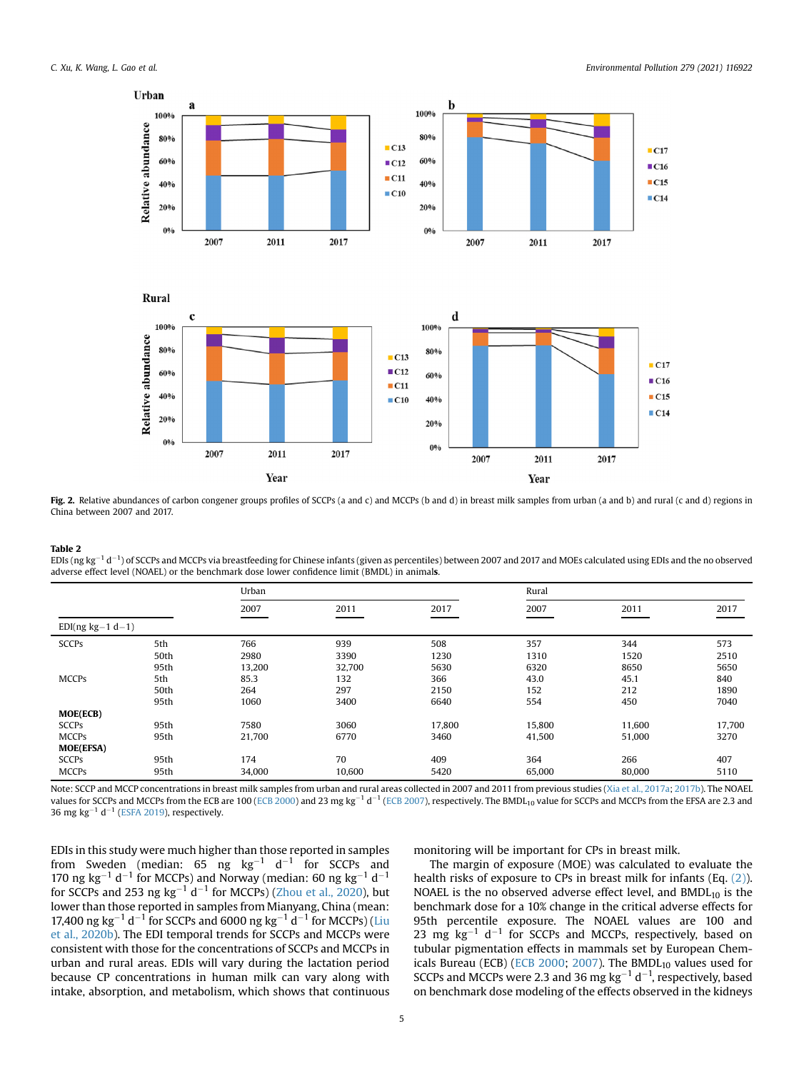<span id="page-4-0"></span>

Fig. 2. Relative abundances of carbon congener groups profiles of SCCPs (a and c) and MCCPs (b and d) in breast milk samples from urban (a and b) and rural (c and d) regions in China between 2007 and 2017.

#### <span id="page-4-1"></span>Table 2

EDIs (ng kg $^{-1}$  d $^{-1}$ ) of SCCPs and MCCPs via breastfeeding for Chinese infants (given as percentiles) between 2007 and 2017 and MOEs calculated using EDIs and the no observed adverse effect level (NOAEL) or the benchmark dose lower confidence limit (BMDL) in animals.

|                    |      | Urban  |        |        | Rural  |        |        |
|--------------------|------|--------|--------|--------|--------|--------|--------|
|                    |      | 2007   | 2011   | 2017   | 2007   | 2011   | 2017   |
| $EDI(ng kg-1 d-1)$ |      |        |        |        |        |        |        |
| <b>SCCPs</b>       | 5th  | 766    | 939    | 508    | 357    | 344    | 573    |
|                    | 50th | 2980   | 3390   | 1230   | 1310   | 1520   | 2510   |
|                    | 95th | 13,200 | 32,700 | 5630   | 6320   | 8650   | 5650   |
| <b>MCCPs</b>       | 5th  | 85.3   | 132    | 366    | 43.0   | 45.1   | 840    |
|                    | 50th | 264    | 297    | 2150   | 152    | 212    | 1890   |
|                    | 95th | 1060   | 3400   | 6640   | 554    | 450    | 7040   |
| <b>MOE(ECB)</b>    |      |        |        |        |        |        |        |
| <b>SCCPs</b>       | 95th | 7580   | 3060   | 17,800 | 15,800 | 11,600 | 17,700 |
| <b>MCCPs</b>       | 95th | 21,700 | 6770   | 3460   | 41,500 | 51,000 | 3270   |
| <b>MOE(EFSA)</b>   |      |        |        |        |        |        |        |
| <b>SCCPs</b>       | 95th | 174    | 70     | 409    | 364    | 266    | 407    |
| <b>MCCPs</b>       | 95th | 34,000 | 10.600 | 5420   | 65.000 | 80,000 | 5110   |

Note: SCCP and MCCP concentrations in breast milk samples from urban and rural areas collected in 2007 and 2011 from previous studies ([Xia et al., 2017a](#page-6-15); [2017b](#page-6-13)). The NOAEL values for SCCPs and MCCPs from the ECB are 100 ([ECB 2000\)](#page-6-30) and 23 mg kg<sup>-1</sup> d<sup>-1</sup> [\(ECB 2007\)](#page-6-31), respectively. The BMDL<sub>10</sub> value for SCCPs and MCCPs from the EFSA are 2.3 and 36 mg kg<sup>-1</sup> d<sup>-1</sup> ([ESFA 2019\)](#page-6-32), respectively.

EDIs in this study were much higher than those reported in samples from Sweden (median: 65 ng kg $^{-1}$  d $^{-1}$  for SCCPs and 170 ng kg<sup>-1</sup> d<sup>-1</sup> for MCCPs) and Norway (median: 60 ng kg<sup>-1</sup> d<sup>-1</sup> for SCCPs and 253 ng kg<sup>-1</sup> d<sup>-1</sup> for MCCPs) ([Zhou et al., 2020](#page-7-1)), but lower than those reported in samples from Mianyang, China (mean: 17,400 ng kg<sup>-1</sup> d<sup>-1</sup> for SCCPs and 6000 ng kg<sup>-1</sup> d<sup>-1</sup> for MCCPs) [\(Liu](#page-6-14) [et al., 2020b](#page-6-14)). The EDI temporal trends for SCCPs and MCCPs were consistent with those for the concentrations of SCCPs and MCCPs in urban and rural areas. EDIs will vary during the lactation period because CP concentrations in human milk can vary along with intake, absorption, and metabolism, which shows that continuous monitoring will be important for CPs in breast milk.

The margin of exposure (MOE) was calculated to evaluate the health risks of exposure to CPs in breast milk for infants (Eq. [\(2\)\)](#page-2-1). NOAEL is the no observed adverse effect level, and  $BMDL_{10}$  is the benchmark dose for a 10% change in the critical adverse effects for 95th percentile exposure. The NOAEL values are 100 and 23 mg  $kg^{-1}$  d<sup>-1</sup> for SCCPs and MCCPs, respectively, based on tubular pigmentation effects in mammals set by European Chem-icals Bureau (ECB) ([ECB 2000;](#page-6-30) [2007](#page-6-31)). The BMDL $_{10}$  values used for SCCPs and MCCPs were 2.3 and 36 mg  $kg^{-1}$  d<sup>-1</sup>, respectively, based on benchmark dose modeling of the effects observed in the kidneys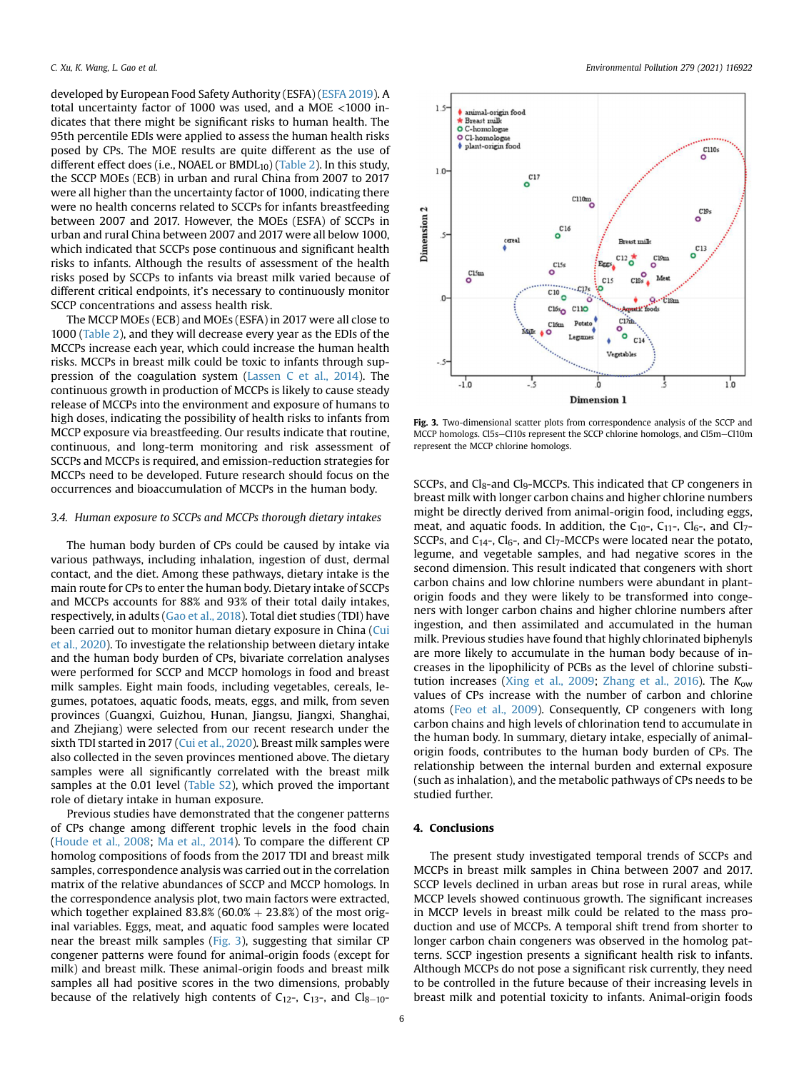developed by European Food Safety Authority (ESFA) ([ESFA 2019\)](#page-6-32). A total uncertainty factor of 1000 was used, and a MOE <1000 indicates that there might be significant risks to human health. The 95th percentile EDIs were applied to assess the human health risks posed by CPs. The MOE results are quite different as the use of different effect does (i.e., NOAEL or  $BMDL_{10}$ ) [\(Table 2\)](#page-4-1). In this study, the SCCP MOEs (ECB) in urban and rural China from 2007 to 2017 were all higher than the uncertainty factor of 1000, indicating there were no health concerns related to SCCPs for infants breastfeeding between 2007 and 2017. However, the MOEs (ESFA) of SCCPs in urban and rural China between 2007 and 2017 were all below 1000, which indicated that SCCPs pose continuous and significant health risks to infants. Although the results of assessment of the health risks posed by SCCPs to infants via breast milk varied because of different critical endpoints, it's necessary to continuously monitor SCCP concentrations and assess health risk.

The MCCP MOEs (ECB) and MOEs (ESFA) in 2017 were all close to 1000 ([Table 2](#page-4-1)), and they will decrease every year as the EDIs of the MCCPs increase each year, which could increase the human health risks. MCCPs in breast milk could be toxic to infants through suppression of the coagulation system [\(Lassen C et al., 2014\)](#page-6-33). The continuous growth in production of MCCPs is likely to cause steady release of MCCPs into the environment and exposure of humans to high doses, indicating the possibility of health risks to infants from MCCP exposure via breastfeeding. Our results indicate that routine, continuous, and long-term monitoring and risk assessment of SCCPs and MCCPs is required, and emission-reduction strategies for MCCPs need to be developed. Future research should focus on the occurrences and bioaccumulation of MCCPs in the human body.

#### 3.4. Human exposure to SCCPs and MCCPs thorough dietary intakes

The human body burden of CPs could be caused by intake via various pathways, including inhalation, ingestion of dust, dermal contact, and the diet. Among these pathways, dietary intake is the main route for CPs to enter the human body. Dietary intake of SCCPs and MCCPs accounts for 88% and 93% of their total daily intakes, respectively, in adults ([Gao et al., 2018\)](#page-6-16). Total diet studies (TDI) have been carried out to monitor human dietary exposure in China [\(Cui](#page-6-34) [et al., 2020\)](#page-6-34). To investigate the relationship between dietary intake and the human body burden of CPs, bivariate correlation analyses were performed for SCCP and MCCP homologs in food and breast milk samples. Eight main foods, including vegetables, cereals, legumes, potatoes, aquatic foods, meats, eggs, and milk, from seven provinces (Guangxi, Guizhou, Hunan, Jiangsu, Jiangxi, Shanghai, and Zhejiang) were selected from our recent research under the sixth TDI started in 2017 ([Cui et al., 2020\)](#page-6-34). Breast milk samples were also collected in the seven provinces mentioned above. The dietary samples were all significantly correlated with the breast milk samples at the 0.01 level (Table S2), which proved the important role of dietary intake in human exposure.

Previous studies have demonstrated that the congener patterns of CPs change among different trophic levels in the food chain ([Houde et al., 2008](#page-6-9); [Ma et al., 2014](#page-6-35)). To compare the different CP homolog compositions of foods from the 2017 TDI and breast milk samples, correspondence analysis was carried out in the correlation matrix of the relative abundances of SCCP and MCCP homologs. In the correspondence analysis plot, two main factors were extracted, which together explained  $83.8\%$  (60.0% + 23.8%) of the most original variables. Eggs, meat, and aquatic food samples were located near the breast milk samples ([Fig. 3\)](#page-5-0), suggesting that similar CP congener patterns were found for animal-origin foods (except for milk) and breast milk. These animal-origin foods and breast milk samples all had positive scores in the two dimensions, probably because of the relatively high contents of  $C_{12}$ -,  $C_{13}$ -, and  $Cl_{8-10}$ -

<span id="page-5-0"></span>

Fig. 3. Two-dimensional scatter plots from correspondence analysis of the SCCP and MCCP homologs. Cl5s-Cl10s represent the SCCP chlorine homologs, and Cl5m-Cl10m represent the MCCP chlorine homologs.

SCCPs, and  $Cl_8$ -and  $Cl_9$ -MCCPs. This indicated that CP congeners in breast milk with longer carbon chains and higher chlorine numbers might be directly derived from animal-origin food, including eggs, meat, and aquatic foods. In addition, the  $C_{10}$ -,  $C_{11}$ -,  $C_{16}$ -, and  $C_{17}$ -SCCPs, and  $C_{14}$ -,  $C_{16}$ -, and  $C_{17}$ -MCCPs were located near the potato, legume, and vegetable samples, and had negative scores in the second dimension. This result indicated that congeners with short carbon chains and low chlorine numbers were abundant in plantorigin foods and they were likely to be transformed into congeners with longer carbon chains and higher chlorine numbers after ingestion, and then assimilated and accumulated in the human milk. Previous studies have found that highly chlorinated biphenyls are more likely to accumulate in the human body because of increases in the lipophilicity of PCBs as the level of chlorine substi-tution increases ([Xing et al., 2009](#page-7-8); [Zhang et al., 2016\)](#page-7-4). The  $K_{\text{ow}}$ values of CPs increase with the number of carbon and chlorine atoms ([Feo et al., 2009](#page-6-0)). Consequently, CP congeners with long carbon chains and high levels of chlorination tend to accumulate in the human body. In summary, dietary intake, especially of animalorigin foods, contributes to the human body burden of CPs. The relationship between the internal burden and external exposure (such as inhalation), and the metabolic pathways of CPs needs to be studied further.

# 4. Conclusions

The present study investigated temporal trends of SCCPs and MCCPs in breast milk samples in China between 2007 and 2017. SCCP levels declined in urban areas but rose in rural areas, while MCCP levels showed continuous growth. The significant increases in MCCP levels in breast milk could be related to the mass production and use of MCCPs. A temporal shift trend from shorter to longer carbon chain congeners was observed in the homolog patterns. SCCP ingestion presents a significant health risk to infants. Although MCCPs do not pose a significant risk currently, they need to be controlled in the future because of their increasing levels in breast milk and potential toxicity to infants. Animal-origin foods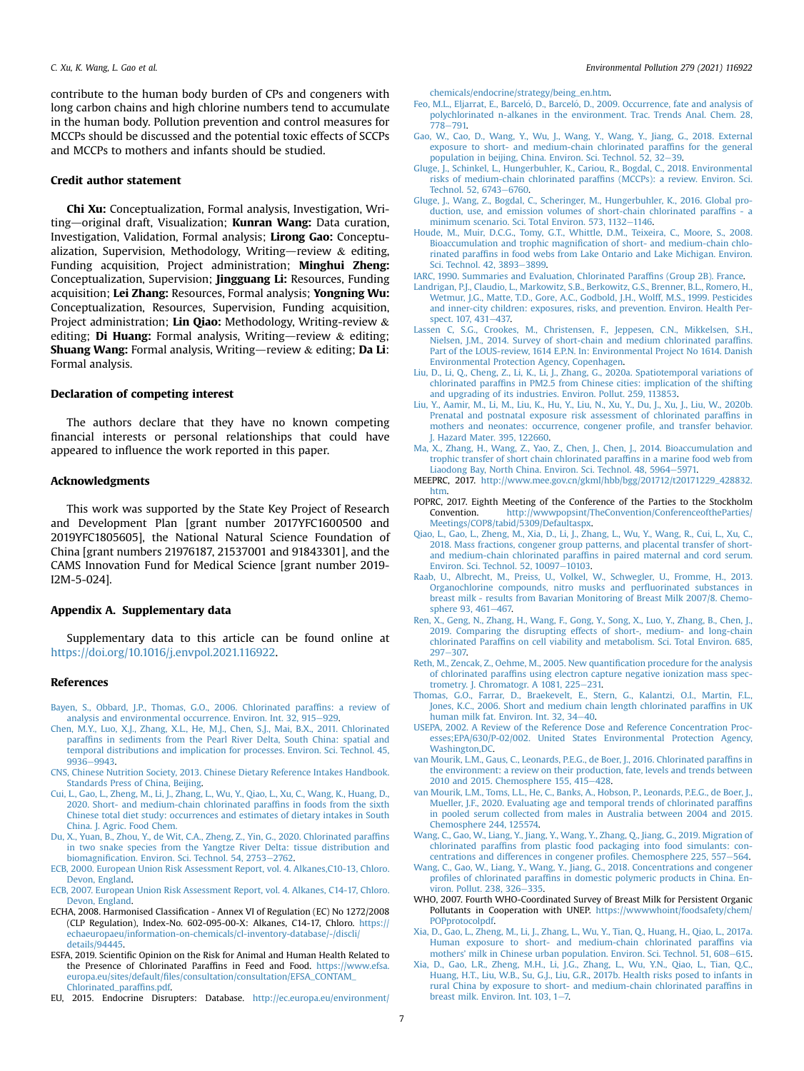contribute to the human body burden of CPs and congeners with long carbon chains and high chlorine numbers tend to accumulate in the human body. Pollution prevention and control measures for MCCPs should be discussed and the potential toxic effects of SCCPs and MCCPs to mothers and infants should be studied.

# Credit author statement

Chi Xu: Conceptualization, Formal analysis, Investigation, Writing-original draft, Visualization; Kunran Wang: Data curation, Investigation, Validation, Formal analysis; Lirong Gao: Conceptualization, Supervision, Methodology, Writing-review & editing, Funding acquisition, Project administration; Minghui Zheng: Conceptualization, Supervision; Jingguang Li: Resources, Funding acquisition; Lei Zhang: Resources, Formal analysis; Yongning Wu: Conceptualization, Resources, Supervision, Funding acquisition, Project administration; Lin **Qiao:** Methodology, Writing-review & editing; **Di Huang:** Formal analysis, Writing—review  $\&$  editing; **Shuang Wang:** Formal analysis, Writing—review  $\&$  editing; Da Li: Formal analysis.

### Declaration of competing interest

The authors declare that they have no known competing financial interests or personal relationships that could have appeared to influence the work reported in this paper.

#### Acknowledgments

This work was supported by the State Key Project of Research and Development Plan [grant number 2017YFC1600500 and 2019YFC1805605], the National Natural Science Foundation of China [grant numbers 21976187, 21537001 and 91843301], and the CAMS Innovation Fund for Medical Science [grant number 2019- I2M-5-024].

# Appendix A. Supplementary data

Supplementary data to this article can be found online at <https://doi.org/10.1016/j.envpol.2021.116922>.

#### References

- <span id="page-6-1"></span>[Bayen, S., Obbard, J.P., Thomas, G.O., 2006. Chlorinated paraf](http://refhub.elsevier.com/S0269-7491(21)00504-2/sref1)fins: a review of [analysis and environmental occurrence. Environ. Int. 32, 915](http://refhub.elsevier.com/S0269-7491(21)00504-2/sref1)–[929.](http://refhub.elsevier.com/S0269-7491(21)00504-2/sref1)
- <span id="page-6-25"></span>[Chen, M.Y., Luo, X.J., Zhang, X.L., He, M.J., Chen, S.J., Mai, B.X., 2011. Chlorinated](http://refhub.elsevier.com/S0269-7491(21)00504-2/sref2) paraffi[ns in sediments from the Pearl River Delta, South China: spatial and](http://refhub.elsevier.com/S0269-7491(21)00504-2/sref2) [temporal distributions and implication for processes. Environ. Sci. Technol. 45,](http://refhub.elsevier.com/S0269-7491(21)00504-2/sref2) [9936](http://refhub.elsevier.com/S0269-7491(21)00504-2/sref2)-[9943.](http://refhub.elsevier.com/S0269-7491(21)00504-2/sref2)
- <span id="page-6-34"></span><span id="page-6-19"></span>[CNS, Chinese Nutrition Society, 2013. Chinese Dietary Reference Intakes Handbook.](http://refhub.elsevier.com/S0269-7491(21)00504-2/sref3) [Standards Press of China, Beijing](http://refhub.elsevier.com/S0269-7491(21)00504-2/sref3).
- [Cui, L., Gao, L., Zheng, M., Li, J., Zhang, L., Wu, Y., Qiao, L., Xu, C., Wang, K., Huang, D.,](http://refhub.elsevier.com/S0269-7491(21)00504-2/sref4) [2020. Short- and medium-chain chlorinated paraf](http://refhub.elsevier.com/S0269-7491(21)00504-2/sref4)fins in foods from the sixth [Chinese total diet study: occurrences and estimates of dietary intakes in South](http://refhub.elsevier.com/S0269-7491(21)00504-2/sref4) [China. J. Agric. Food Chem.](http://refhub.elsevier.com/S0269-7491(21)00504-2/sref4)
- <span id="page-6-8"></span>[Du, X., Yuan, B., Zhou, Y., de Wit, C.A., Zheng, Z., Yin, G., 2020. Chlorinated paraf](http://refhub.elsevier.com/S0269-7491(21)00504-2/sref5)fins [in two snake species from the Yangtze River Delta: tissue distribution and](http://refhub.elsevier.com/S0269-7491(21)00504-2/sref5) biomagnifi[cation. Environ. Sci. Technol. 54, 2753](http://refhub.elsevier.com/S0269-7491(21)00504-2/sref5)-[2762](http://refhub.elsevier.com/S0269-7491(21)00504-2/sref5).
- <span id="page-6-31"></span><span id="page-6-30"></span>[ECB, 2000. European Union Risk Assessment Report, vol. 4. Alkanes,C10-13, Chloro.](http://refhub.elsevier.com/S0269-7491(21)00504-2/sref6) [Devon, England](http://refhub.elsevier.com/S0269-7491(21)00504-2/sref6).
- <span id="page-6-29"></span>[ECB, 2007. European Union Risk Assessment Report, vol. 4. Alkanes, C14-17, Chloro.](http://refhub.elsevier.com/S0269-7491(21)00504-2/sref7) [Devon, England](http://refhub.elsevier.com/S0269-7491(21)00504-2/sref7).
- ECHA, 2008. Harmonised Classification Annex VI of Regulation (EC) No 1272/2008 (CLP Regulation), Index-No. 602-095-00-X: Alkanes, C14-17, Chloro. [https://](https://echaeuropaeu/information-on-chemicals/cl-inventory-database/-/discli/details/94445) [echaeuropaeu/information-on-chemicals/cl-inventory-database/-/discli/](https://echaeuropaeu/information-on-chemicals/cl-inventory-database/-/discli/details/94445) [details/94445](https://echaeuropaeu/information-on-chemicals/cl-inventory-database/-/discli/details/94445).
- <span id="page-6-32"></span>ESFA, 2019. Scientific Opinion on the Risk for Animal and Human Health Related to the Presence of Chlorinated Paraffins in Feed and Food. [https://www.efsa.](https://www.efsa.europa.eu/sites/default/files/consultation/consultation/EFSA_CONTAM_Chlorinated_paraffins.pdf) europa.eu/sites/default/fi[les/consultation/consultation/EFSA\\_CONTAM\\_](https://www.efsa.europa.eu/sites/default/files/consultation/consultation/EFSA_CONTAM_Chlorinated_paraffins.pdf) [Chlorinated\\_paraf](https://www.efsa.europa.eu/sites/default/files/consultation/consultation/EFSA_CONTAM_Chlorinated_paraffins.pdf)fins.pdf.
- <span id="page-6-3"></span>EU, 2015. Endocrine Disrupters: Database. [http://ec.europa.eu/environment/](http://ec.europa.eu/environment/chemicals/endocrine/strategy/being_en.htm)

[chemicals/endocrine/strategy/being\\_en.htm](http://ec.europa.eu/environment/chemicals/endocrine/strategy/being_en.htm).

- <span id="page-6-0"></span>Feo, M.L., Eljarrat, E., Barceló, D., Barceló[, D., 2009. Occurrence, fate and analysis of](http://refhub.elsevier.com/S0269-7491(21)00504-2/sref11) [polychlorinated n-alkanes in the environment. Trac. Trends Anal. Chem. 28,](http://refhub.elsevier.com/S0269-7491(21)00504-2/sref11)  $778 - 791.$  $778 - 791.$  $778 - 791.$
- <span id="page-6-16"></span>[Gao, W., Cao, D., Wang, Y., Wu, J., Wang, Y., Wang, Y., Jiang, G., 2018. External](http://refhub.elsevier.com/S0269-7491(21)00504-2/sref12) [exposure to short- and medium-chain chlorinated paraf](http://refhub.elsevier.com/S0269-7491(21)00504-2/sref12)fins for the general [population in beijing, China. Environ. Sci. Technol. 52, 32](http://refhub.elsevier.com/S0269-7491(21)00504-2/sref12)–[39](http://refhub.elsevier.com/S0269-7491(21)00504-2/sref12).
- <span id="page-6-27"></span>[Gluge, J., Schinkel, L., Hungerbuhler, K., Cariou, R., Bogdal, C., 2018. Environmental](http://refhub.elsevier.com/S0269-7491(21)00504-2/sref13) [risks of medium-chain chlorinated paraf](http://refhub.elsevier.com/S0269-7491(21)00504-2/sref13)fins (MCCPs): a review. Environ. Sci. [Technol. 52, 6743](http://refhub.elsevier.com/S0269-7491(21)00504-2/sref13)-[6760.](http://refhub.elsevier.com/S0269-7491(21)00504-2/sref13)
- <span id="page-6-6"></span>[Gluge, J., Wang, Z., Bogdal, C., Scheringer, M., Hungerbuhler, K., 2016. Global pro](http://refhub.elsevier.com/S0269-7491(21)00504-2/sref14)[duction, use, and emission volumes of short-chain chlorinated paraf](http://refhub.elsevier.com/S0269-7491(21)00504-2/sref14)fins - a [minimum scenario. Sci. Total Environ. 573, 1132](http://refhub.elsevier.com/S0269-7491(21)00504-2/sref14)-[1146](http://refhub.elsevier.com/S0269-7491(21)00504-2/sref14).
- <span id="page-6-9"></span>[Houde, M., Muir, D.C.G., Tomy, G.T., Whittle, D.M., Teixeira, C., Moore, S., 2008.](http://refhub.elsevier.com/S0269-7491(21)00504-2/sref15) Bioaccumulation and trophic magnifi[cation of short- and medium-chain chlo](http://refhub.elsevier.com/S0269-7491(21)00504-2/sref15)rinated paraffi[ns in food webs from Lake Ontario and Lake Michigan. Environ.](http://refhub.elsevier.com/S0269-7491(21)00504-2/sref15) [Sci. Technol. 42, 3893](http://refhub.elsevier.com/S0269-7491(21)00504-2/sref15)-[3899.](http://refhub.elsevier.com/S0269-7491(21)00504-2/sref15)

<span id="page-6-2"></span>[IARC, 1990. Summaries and Evaluation, Chlorinated Paraf](http://refhub.elsevier.com/S0269-7491(21)00504-2/sref16)fins (Group 2B). France.

- <span id="page-6-11"></span>[Landrigan, P.J., Claudio, L., Markowitz, S.B., Berkowitz, G.S., Brenner, B.L., Romero, H.,](http://refhub.elsevier.com/S0269-7491(21)00504-2/sref17) [Wetmur, J.G., Matte, T.D., Gore, A.C., Godbold, J.H., Wolff, M.S., 1999. Pesticides](http://refhub.elsevier.com/S0269-7491(21)00504-2/sref17) [and inner-city children: exposures, risks, and prevention. Environ. Health Per](http://refhub.elsevier.com/S0269-7491(21)00504-2/sref17)[spect. 107, 431](http://refhub.elsevier.com/S0269-7491(21)00504-2/sref17)-[437.](http://refhub.elsevier.com/S0269-7491(21)00504-2/sref17)
- <span id="page-6-33"></span>[Lassen C, S.G., Crookes, M., Christensen, F., Jeppesen, C.N., Mikkelsen, S.H.,](http://refhub.elsevier.com/S0269-7491(21)00504-2/sref18) [Nielsen, J.M., 2014. Survey of short-chain and medium chlorinated paraf](http://refhub.elsevier.com/S0269-7491(21)00504-2/sref18)fins. [Part of the LOUS-review, 1614 E.P.N. In: Environmental Project No 1614. Danish](http://refhub.elsevier.com/S0269-7491(21)00504-2/sref18) [Environmental Protection Agency, Copenhagen.](http://refhub.elsevier.com/S0269-7491(21)00504-2/sref18)
- <span id="page-6-21"></span>[Liu, D., Li, Q., Cheng, Z., Li, K., Li, J., Zhang, G., 2020a. Spatiotemporal variations of](http://refhub.elsevier.com/S0269-7491(21)00504-2/sref19) chlorinated paraffi[ns in PM2.5 from Chinese cities: implication of the shifting](http://refhub.elsevier.com/S0269-7491(21)00504-2/sref19) [and upgrading of its industries. Environ. Pollut. 259, 113853.](http://refhub.elsevier.com/S0269-7491(21)00504-2/sref19)
- <span id="page-6-14"></span>[Liu, Y., Aamir, M., Li, M., Liu, K., Hu, Y., Liu, N., Xu, Y., Du, J., Xu, J., Liu, W., 2020b.](http://refhub.elsevier.com/S0269-7491(21)00504-2/sref20) [Prenatal and postnatal exposure risk assessment of chlorinated paraf](http://refhub.elsevier.com/S0269-7491(21)00504-2/sref20)fins in [mothers and neonates: occurrence, congener pro](http://refhub.elsevier.com/S0269-7491(21)00504-2/sref20)file, and transfer behavior. [J. Hazard Mater. 395, 122660.](http://refhub.elsevier.com/S0269-7491(21)00504-2/sref20)
- <span id="page-6-35"></span>[Ma, X., Zhang, H., Wang, Z., Yao, Z., Chen, J., Chen, J., 2014. Bioaccumulation and](http://refhub.elsevier.com/S0269-7491(21)00504-2/sref21) [trophic transfer of short chain chlorinated paraf](http://refhub.elsevier.com/S0269-7491(21)00504-2/sref21)fins in a marine food web from [Liaodong Bay, North China. Environ. Sci. Technol. 48, 5964](http://refhub.elsevier.com/S0269-7491(21)00504-2/sref21)-[5971.](http://refhub.elsevier.com/S0269-7491(21)00504-2/sref21)
- <span id="page-6-28"></span>MEEPRC, 2017. [http://www.mee.gov.cn/gkml/hbb/bgg/201712/t20171229\\_428832.](http://www.mee.gov.cn/gkml/hbb/bgg/201712/t20171229_428832.htm) [htm](http://www.mee.gov.cn/gkml/hbb/bgg/201712/t20171229_428832.htm).
- <span id="page-6-4"></span>POPRC, 2017. Eighth Meeting of the Conference of the Parties to the Stockholm Convention. [http://wwwpopsint/TheConvention/ConferenceoftheParties/](http://wwwpopsint/TheConvention/ConferenceoftheParties/Meetings/COP8/tabid/5309/Defaultaspx) [Meetings/COP8/tabid/5309/Defaultaspx](http://wwwpopsint/TheConvention/ConferenceoftheParties/Meetings/COP8/tabid/5309/Defaultaspx).
- <span id="page-6-12"></span>[Qiao, L., Gao, L., Zheng, M., Xia, D., Li, J., Zhang, L., Wu, Y., Wang, R., Cui, L., Xu, C.,](http://refhub.elsevier.com/S0269-7491(21)00504-2/sref24) [2018. Mass fractions, congener group patterns, and placental transfer of short](http://refhub.elsevier.com/S0269-7491(21)00504-2/sref24)and medium-chain chlorinated paraffi[ns in paired maternal and cord serum.](http://refhub.elsevier.com/S0269-7491(21)00504-2/sref24) [Environ. Sci. Technol. 52, 10097](http://refhub.elsevier.com/S0269-7491(21)00504-2/sref24)-[10103](http://refhub.elsevier.com/S0269-7491(21)00504-2/sref24).
- <span id="page-6-10"></span>[Raab, U., Albrecht, M., Preiss, U., Volkel, W., Schwegler, U., Fromme, H., 2013.](http://refhub.elsevier.com/S0269-7491(21)00504-2/sref25) [Organochlorine compounds, nitro musks and per](http://refhub.elsevier.com/S0269-7491(21)00504-2/sref25)fluorinated substances in [breast milk - results from Bavarian Monitoring of Breast Milk 2007/8. Chemo](http://refhub.elsevier.com/S0269-7491(21)00504-2/sref25)[sphere 93, 461](http://refhub.elsevier.com/S0269-7491(21)00504-2/sref25)-[467.](http://refhub.elsevier.com/S0269-7491(21)00504-2/sref25)
- <span id="page-6-7"></span>[Ren, X., Geng, N., Zhang, H., Wang, F., Gong, Y., Song, X., Luo, Y., Zhang, B., Chen, J.,](http://refhub.elsevier.com/S0269-7491(21)00504-2/sref26) [2019. Comparing the disrupting effects of short-, medium- and long-chain](http://refhub.elsevier.com/S0269-7491(21)00504-2/sref26) chlorinated Paraffi[ns on cell viability and metabolism. Sci. Total Environ. 685,](http://refhub.elsevier.com/S0269-7491(21)00504-2/sref26)  $297 - 307$  $297 - 307$
- <span id="page-6-18"></span>[Reth, M., Zencak, Z., Oehme, M., 2005. New quanti](http://refhub.elsevier.com/S0269-7491(21)00504-2/sref27)fication procedure for the analysis of chlorinated paraffi[ns using electron capture negative ionization mass spec](http://refhub.elsevier.com/S0269-7491(21)00504-2/sref27)trometry. J. Chromatogr. A  $1081$ , 225-[231.](http://refhub.elsevier.com/S0269-7491(21)00504-2/sref27)
- <span id="page-6-24"></span>[Thomas, G.O., Farrar, D., Braekevelt, E., Stern, G., Kalantzi, O.I., Martin, F.L.,](http://refhub.elsevier.com/S0269-7491(21)00504-2/sref28) [Jones, K.C., 2006. Short and medium chain length chlorinated paraf](http://refhub.elsevier.com/S0269-7491(21)00504-2/sref28)fins in UK [human milk fat. Environ. Int. 32, 34](http://refhub.elsevier.com/S0269-7491(21)00504-2/sref28)-[40.](http://refhub.elsevier.com/S0269-7491(21)00504-2/sref28)
- <span id="page-6-20"></span>[USEPA, 2002. A Review of the Reference Dose and Reference Concentration Proc](http://refhub.elsevier.com/S0269-7491(21)00504-2/sref29)[esses;EPA/630/P-02/002. United States Environmental Protection Agency,](http://refhub.elsevier.com/S0269-7491(21)00504-2/sref29) [Washington,DC](http://refhub.elsevier.com/S0269-7491(21)00504-2/sref29).
- <span id="page-6-5"></span>[van Mourik, L.M., Gaus, C., Leonards, P.E.G., de Boer, J., 2016. Chlorinated paraf](http://refhub.elsevier.com/S0269-7491(21)00504-2/sref30)fins in [the environment: a review on their production, fate, levels and trends between](http://refhub.elsevier.com/S0269-7491(21)00504-2/sref30) [2010 and 2015. Chemosphere 155, 415](http://refhub.elsevier.com/S0269-7491(21)00504-2/sref30)-[428.](http://refhub.elsevier.com/S0269-7491(21)00504-2/sref30)
- <span id="page-6-26"></span>[van Mourik, L.M., Toms, L.L., He, C., Banks, A., Hobson, P., Leonards, P.E.G., de Boer, J.,](http://refhub.elsevier.com/S0269-7491(21)00504-2/sref31) [Mueller, J.F., 2020. Evaluating age and temporal trends of chlorinated paraf](http://refhub.elsevier.com/S0269-7491(21)00504-2/sref31)fins [in pooled serum collected from males in Australia between 2004 and 2015.](http://refhub.elsevier.com/S0269-7491(21)00504-2/sref31) [Chemosphere 244, 125574.](http://refhub.elsevier.com/S0269-7491(21)00504-2/sref31)
- <span id="page-6-23"></span>[Wang, C., Gao, W., Liang, Y., Jiang, Y., Wang, Y., Zhang, Q., Jiang, G., 2019. Migration of](http://refhub.elsevier.com/S0269-7491(21)00504-2/sref32) chlorinated paraffi[ns from plastic food packaging into food simulants: con](http://refhub.elsevier.com/S0269-7491(21)00504-2/sref32)[centrations and differences in congener pro](http://refhub.elsevier.com/S0269-7491(21)00504-2/sref32)files. Chemosphere 225, 557-[564.](http://refhub.elsevier.com/S0269-7491(21)00504-2/sref32)
- <span id="page-6-22"></span>[Wang, C., Gao, W., Liang, Y., Wang, Y., Jiang, G., 2018. Concentrations and congener](http://refhub.elsevier.com/S0269-7491(21)00504-2/sref33) profiles of chlorinated paraffi[ns in domestic polymeric products in China. En](http://refhub.elsevier.com/S0269-7491(21)00504-2/sref33)[viron. Pollut. 238, 326](http://refhub.elsevier.com/S0269-7491(21)00504-2/sref33)-[335](http://refhub.elsevier.com/S0269-7491(21)00504-2/sref33).
- <span id="page-6-17"></span>WHO, 2007. Fourth WHO-Coordinated Survey of Breast Milk for Persistent Organic Pollutants in Cooperation with UNEP. [https://wwwwhoint/foodsafety/chem/](https://wwwwhoint/foodsafety/chem/POPprotocolpdf) [POPprotocolpdf.](https://wwwwhoint/foodsafety/chem/POPprotocolpdf)
- <span id="page-6-15"></span>[Xia, D., Gao, L., Zheng, M., Li, J., Zhang, L., Wu, Y., Tian, Q., Huang, H., Qiao, L., 2017a.](http://refhub.elsevier.com/S0269-7491(21)00504-2/sref36) [Human exposure to short- and medium-chain chlorinated paraf](http://refhub.elsevier.com/S0269-7491(21)00504-2/sref36)fins via mothers' [milk in Chinese urban population. Environ. Sci. Technol. 51, 608](http://refhub.elsevier.com/S0269-7491(21)00504-2/sref36)-[615](http://refhub.elsevier.com/S0269-7491(21)00504-2/sref36).
- <span id="page-6-13"></span>[Xia, D., Gao, L.R., Zheng, M.H., Li, J.G., Zhang, L., Wu, Y.N., Qiao, L., Tian, Q.C.,](http://refhub.elsevier.com/S0269-7491(21)00504-2/sref37) [Huang, H.T., Liu, W.B., Su, G.J., Liu, G.R., 2017b. Health risks posed to infants in](http://refhub.elsevier.com/S0269-7491(21)00504-2/sref37) [rural China by exposure to short- and medium-chain chlorinated paraf](http://refhub.elsevier.com/S0269-7491(21)00504-2/sref37)fins in breast milk. Environ. Int.  $103$ ,  $1-7$ .